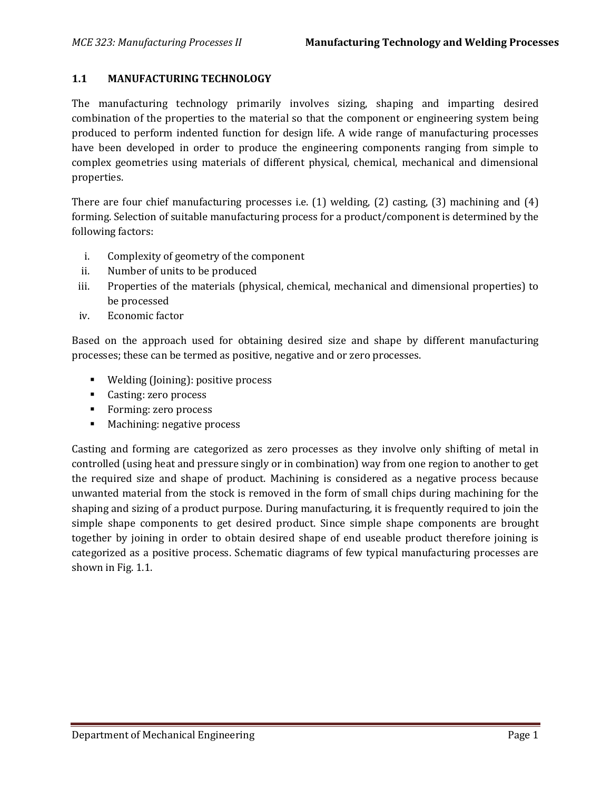## **1.1 MANUFACTURING TECHNOLOGY**

The manufacturing technology primarily involves sizing, shaping and imparting desired combination of the properties to the material so that the component or engineering system being produced to perform indented function for design life. A wide range of manufacturing processes have been developed in order to produce the engineering components ranging from simple to complex geometries using materials of different physical, chemical, mechanical and dimensional properties.

There are four chief manufacturing processes i.e. (1) welding, (2) casting, (3) machining and (4) forming. Selection of suitable manufacturing process for a product/component is determined by the following factors:

- i. Complexity of geometry of the component
- ii. Number of units to be produced
- iii. Properties of the materials (physical, chemical, mechanical and dimensional properties) to be processed
- iv. Economic factor

Based on the approach used for obtaining desired size and shape by different manufacturing processes; these can be termed as positive, negative and or zero processes.

- **Welding (Joining): positive process**
- Casting: zero process
- **Forming: zero process**
- **Machining: negative process**

Casting and forming are categorized as zero processes as they involve only shifting of metal in controlled (using heat and pressure singly or in combination) way from one region to another to get the required size and shape of product. Machining is considered as a negative process because unwanted material from the stock is removed in the form of small chips during machining for the shaping and sizing of a product purpose. During manufacturing, it is frequently required to join the simple shape components to get desired product. Since simple shape components are brought together by joining in order to obtain desired shape of end useable product therefore joining is categorized as a positive process. Schematic diagrams of few typical manufacturing processes are shown in Fig. 1.1.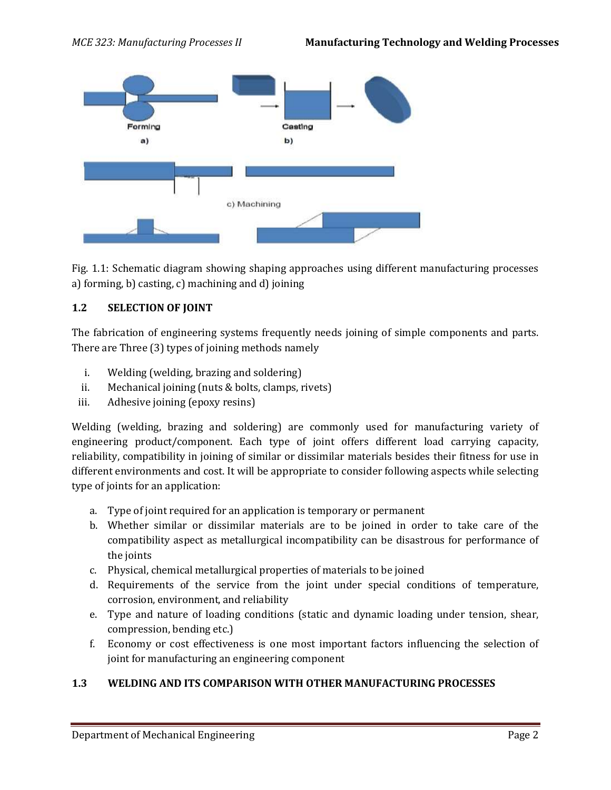

Fig. 1.1: Schematic diagram showing shaping approaches using different manufacturing processes a) forming, b) casting, c) machining and d) joining

## **1.2 SELECTION OF JOINT**

The fabrication of engineering systems frequently needs joining of simple components and parts. There are Three (3) types of joining methods namely

- i. Welding (welding, brazing and soldering)
- ii. Mechanical joining (nuts & bolts, clamps, rivets)
- iii. Adhesive joining (epoxy resins)

Welding (welding, brazing and soldering) are commonly used for manufacturing variety of engineering product/component. Each type of joint offers different load carrying capacity, reliability, compatibility in joining of similar or dissimilar materials besides their fitness for use in different environments and cost. It will be appropriate to consider following aspects while selecting type of joints for an application:

- a. Type of joint required for an application is temporary or permanent
- b. Whether similar or dissimilar materials are to be joined in order to take care of the compatibility aspect as metallurgical incompatibility can be disastrous for performance of the joints
- c. Physical, chemical metallurgical properties of materials to be joined
- d. Requirements of the service from the joint under special conditions of temperature, corrosion, environment, and reliability
- e. Type and nature of loading conditions (static and dynamic loading under tension, shear, compression, bending etc.)
- f. Economy or cost effectiveness is one most important factors influencing the selection of joint for manufacturing an engineering component

## **1.3 WELDING AND ITS COMPARISON WITH OTHER MANUFACTURING PROCESSES**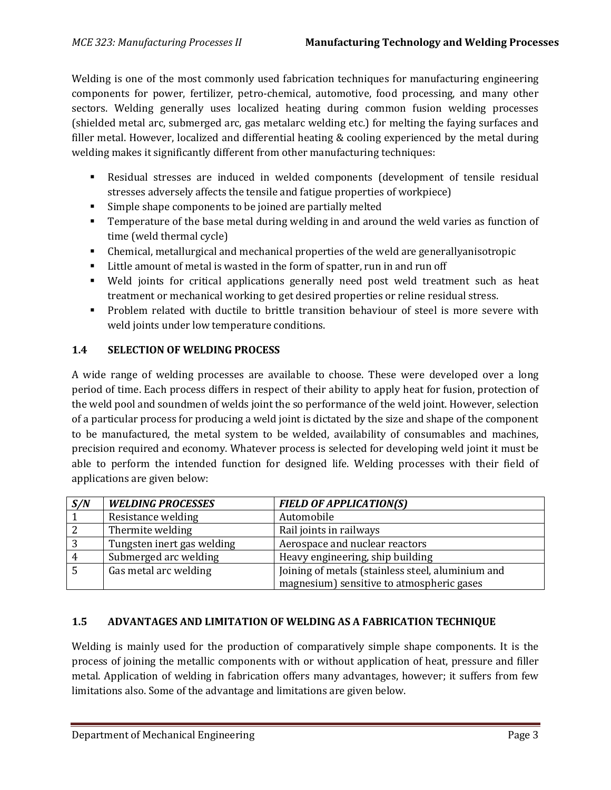Welding is one of the most commonly used fabrication techniques for manufacturing engineering components for power, fertilizer, petro-chemical, automotive, food processing, and many other sectors. Welding generally uses localized heating during common fusion welding processes (shielded metal arc, submerged arc, gas metalarc welding etc.) for melting the faying surfaces and filler metal. However, localized and differential heating & cooling experienced by the metal during welding makes it significantly different from other manufacturing techniques:

- Residual stresses are induced in welded components (development of tensile residual stresses adversely affects the tensile and fatigue properties of workpiece)
- Simple shape components to be joined are partially melted
- Temperature of the base metal during welding in and around the weld varies as function of time (weld thermal cycle)
- Chemical, metallurgical and mechanical properties of the weld are generallyanisotropic
- Little amount of metal is wasted in the form of spatter, run in and run off
- Weld joints for critical applications generally need post weld treatment such as heat treatment or mechanical working to get desired properties or reline residual stress.
- Problem related with ductile to brittle transition behaviour of steel is more severe with weld joints under low temperature conditions.

# **1.4 SELECTION OF WELDING PROCESS**

A wide range of welding processes are available to choose. These were developed over a long period of time. Each process differs in respect of their ability to apply heat for fusion, protection of the weld pool and soundmen of welds joint the so performance of the weld joint. However, selection of a particular process for producing a weld joint is dictated by the size and shape of the component to be manufactured, the metal system to be welded, availability of consumables and machines, precision required and economy. Whatever process is selected for developing weld joint it must be able to perform the intended function for designed life. Welding processes with their field of applications are given below:

| S/N | <b>WELDING PROCESSES</b>   | <b>FIELD OF APPLICATION(S)</b>                    |
|-----|----------------------------|---------------------------------------------------|
|     | Resistance welding         | Automobile                                        |
|     | Thermite welding           | Rail joints in railways                           |
|     | Tungsten inert gas welding | Aerospace and nuclear reactors                    |
|     | Submerged arc welding      | Heavy engineering, ship building                  |
| 5   | Gas metal arc welding      | Joining of metals (stainless steel, aluminium and |
|     |                            | magnesium) sensitive to atmospheric gases         |

## **1.5 ADVANTAGES AND LIMITATION OF WELDING AS A FABRICATION TECHNIQUE**

Welding is mainly used for the production of comparatively simple shape components. It is the process of joining the metallic components with or without application of heat, pressure and filler metal. Application of welding in fabrication offers many advantages, however; it suffers from few limitations also. Some of the advantage and limitations are given below.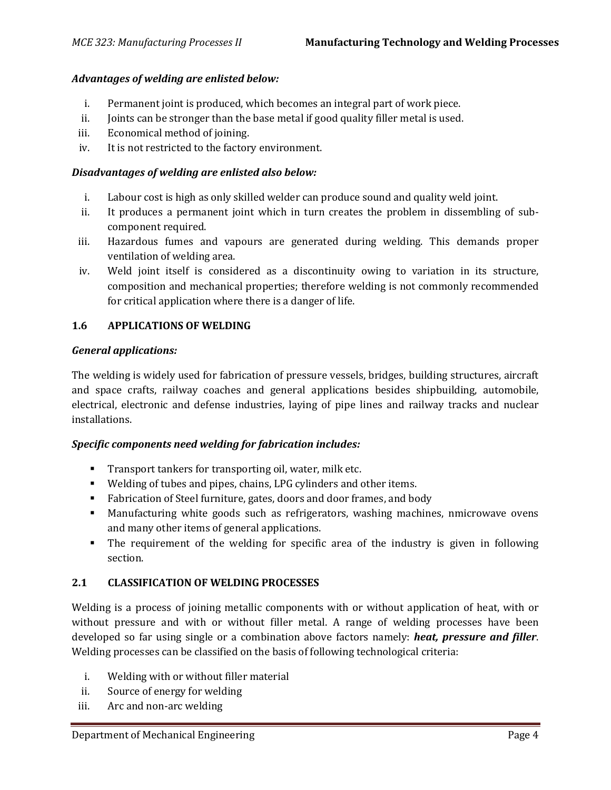## *Advantages of welding are enlisted below:*

- i. Permanent joint is produced, which becomes an integral part of work piece.
- ii. Joints can be stronger than the base metal if good quality filler metal is used.
- iii. Economical method of joining.
- iv. It is not restricted to the factory environment.

### *Disadvantages of welding are enlisted also below:*

- i. Labour cost is high as only skilled welder can produce sound and quality weld joint.
- ii. It produces a permanent joint which in turn creates the problem in dissembling of subcomponent required.
- iii. Hazardous fumes and vapours are generated during welding. This demands proper ventilation of welding area.
- iv. Weld joint itself is considered as a discontinuity owing to variation in its structure, composition and mechanical properties; therefore welding is not commonly recommended for critical application where there is a danger of life.

### **1.6 APPLICATIONS OF WELDING**

### *General applications:*

The welding is widely used for fabrication of pressure vessels, bridges, building structures, aircraft and space crafts, railway coaches and general applications besides shipbuilding, automobile, electrical, electronic and defense industries, laying of pipe lines and railway tracks and nuclear installations.

#### *Specific components need welding for fabrication includes:*

- **Transport tankers for transporting oil, water, milk etc.**
- Welding of tubes and pipes, chains, LPG cylinders and other items.
- Fabrication of Steel furniture, gates, doors and door frames, and body
- Manufacturing white goods such as refrigerators, washing machines, nmicrowave ovens and many other items of general applications.
- The requirement of the welding for specific area of the industry is given in following section.

## **2.1 CLASSIFICATION OF WELDING PROCESSES**

Welding is a process of joining metallic components with or without application of heat, with or without pressure and with or without filler metal. A range of welding processes have been developed so far using single or a combination above factors namely: *heat, pressure and filler*. Welding processes can be classified on the basis of following technological criteria:

- i. Welding with or without filler material
- ii. Source of energy for welding
- iii. Arc and non-arc welding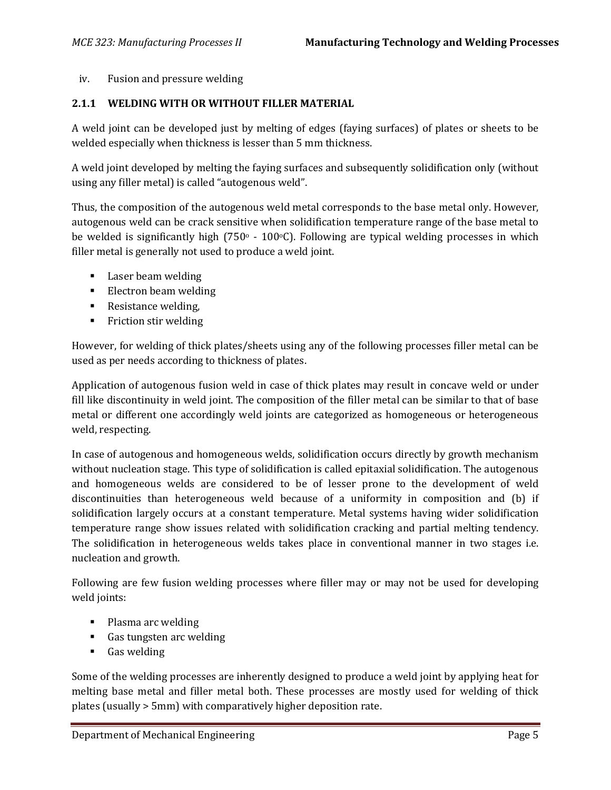## iv. Fusion and pressure welding

## **2.1.1 WELDING WITH OR WITHOUT FILLER MATERIAL**

A weld joint can be developed just by melting of edges (faying surfaces) of plates or sheets to be welded especially when thickness is lesser than 5 mm thickness.

A weld joint developed by melting the faying surfaces and subsequently solidification only (without using any filler metal) is called "autogenous weld".

Thus, the composition of the autogenous weld metal corresponds to the base metal only. However, autogenous weld can be crack sensitive when solidification temperature range of the base metal to be welded is significantly high (750 $\degree$  - 100 $\degree$ C). Following are typical welding processes in which filler metal is generally not used to produce a weld joint.

- **Laser beam welding**
- **Electron beam welding**
- Resistance welding,
- **Fiction stir welding**

However, for welding of thick plates/sheets using any of the following processes filler metal can be used as per needs according to thickness of plates.

Application of autogenous fusion weld in case of thick plates may result in concave weld or under fill like discontinuity in weld joint. The composition of the filler metal can be similar to that of base metal or different one accordingly weld joints are categorized as homogeneous or heterogeneous weld, respecting.

In case of autogenous and homogeneous welds, solidification occurs directly by growth mechanism without nucleation stage. This type of solidification is called epitaxial solidification. The autogenous and homogeneous welds are considered to be of lesser prone to the development of weld discontinuities than heterogeneous weld because of a uniformity in composition and (b) if solidification largely occurs at a constant temperature. Metal systems having wider solidification temperature range show issues related with solidification cracking and partial melting tendency. The solidification in heterogeneous welds takes place in conventional manner in two stages i.e. nucleation and growth.

Following are few fusion welding processes where filler may or may not be used for developing weld joints:

- Plasma arc welding
- Gas tungsten arc welding
- **Gas welding**

Some of the welding processes are inherently designed to produce a weld joint by applying heat for melting base metal and filler metal both. These processes are mostly used for welding of thick plates (usually > 5mm) with comparatively higher deposition rate.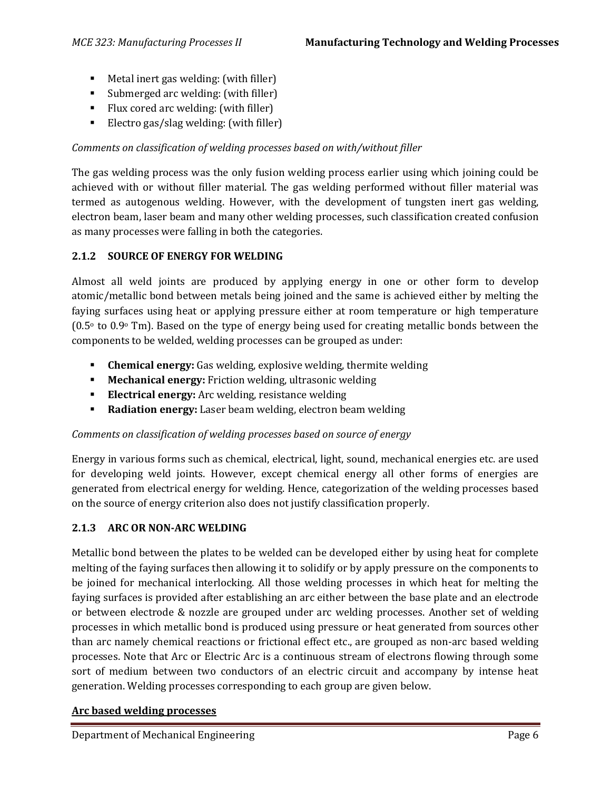- Metal inert gas welding: (with filler)
- Submerged arc welding: (with filler)
- Flux cored arc welding: (with filler)
- Electro gas/slag welding: (with filler)

# *Comments on classification of welding processes based on with/without filler*

The gas welding process was the only fusion welding process earlier using which joining could be achieved with or without filler material. The gas welding performed without filler material was termed as autogenous welding. However, with the development of tungsten inert gas welding, electron beam, laser beam and many other welding processes, such classification created confusion as many processes were falling in both the categories.

# **2.1.2 SOURCE OF ENERGY FOR WELDING**

Almost all weld joints are produced by applying energy in one or other form to develop atomic/metallic bond between metals being joined and the same is achieved either by melting the faying surfaces using heat or applying pressure either at room temperature or high temperature  $(0.5\textdegree$  to  $0.9\textdegree$  Tm). Based on the type of energy being used for creating metallic bonds between the components to be welded, welding processes can be grouped as under:

- **Chemical energy:** Gas welding, explosive welding, thermite welding
- **Mechanical energy:** Friction welding, ultrasonic welding
- **Electrical energy:** Arc welding, resistance welding
- **Radiation energy:** Laser beam welding, electron beam welding

# *Comments on classification of welding processes based on source of energy*

Energy in various forms such as chemical, electrical, light, sound, mechanical energies etc. are used for developing weld joints. However, except chemical energy all other forms of energies are generated from electrical energy for welding. Hence, categorization of the welding processes based on the source of energy criterion also does not justify classification properly.

## **2.1.3 ARC OR NON-ARC WELDING**

Metallic bond between the plates to be welded can be developed either by using heat for complete melting of the faying surfaces then allowing it to solidify or by apply pressure on the components to be joined for mechanical interlocking. All those welding processes in which heat for melting the faying surfaces is provided after establishing an arc either between the base plate and an electrode or between electrode & nozzle are grouped under arc welding processes. Another set of welding processes in which metallic bond is produced using pressure or heat generated from sources other than arc namely chemical reactions or frictional effect etc., are grouped as non-arc based welding processes. Note that Arc or Electric Arc is a continuous stream of electrons flowing through some sort of medium between two conductors of an electric circuit and accompany by intense heat generation. Welding processes corresponding to each group are given below.

# **Arc based welding processes**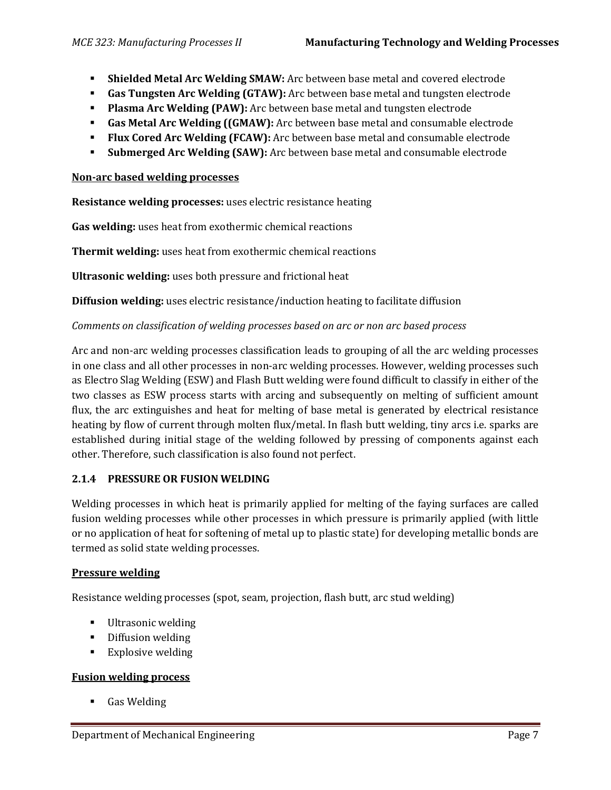- **Shielded Metal Arc Welding SMAW:** Arc between base metal and covered electrode
- **Gas Tungsten Arc Welding (GTAW):** Arc between base metal and tungsten electrode
- **Plasma Arc Welding (PAW):** Arc between base metal and tungsten electrode
- **Gas Metal Arc Welding ((GMAW):** Arc between base metal and consumable electrode
- **Flux Cored Arc Welding (FCAW):** Arc between base metal and consumable electrode
- **Submerged Arc Welding (SAW):** Arc between base metal and consumable electrode

#### **Non-arc based welding processes**

**Resistance welding processes:** uses electric resistance heating

**Gas welding:** uses heat from exothermic chemical reactions

**Thermit welding:** uses heat from exothermic chemical reactions

**Ultrasonic welding:** uses both pressure and frictional heat

**Diffusion welding:** uses electric resistance/induction heating to facilitate diffusion

### *Comments on classification of welding processes based on arc or non arc based process*

Arc and non-arc welding processes classification leads to grouping of all the arc welding processes in one class and all other processes in non-arc welding processes. However, welding processes such as Electro Slag Welding (ESW) and Flash Butt welding were found difficult to classify in either of the two classes as ESW process starts with arcing and subsequently on melting of sufficient amount flux, the arc extinguishes and heat for melting of base metal is generated by electrical resistance heating by flow of current through molten flux/metal. In flash butt welding, tiny arcs i.e. sparks are established during initial stage of the welding followed by pressing of components against each other. Therefore, such classification is also found not perfect.

#### **2.1.4 PRESSURE OR FUSION WELDING**

Welding processes in which heat is primarily applied for melting of the faying surfaces are called fusion welding processes while other processes in which pressure is primarily applied (with little or no application of heat for softening of metal up to plastic state) for developing metallic bonds are termed as solid state welding processes.

#### **Pressure welding**

Resistance welding processes (spot, seam, projection, flash butt, arc stud welding)

- **Ultrasonic welding**
- **•** Diffusion welding
- **Explosive welding**

#### **Fusion welding process**

**Gas Welding**